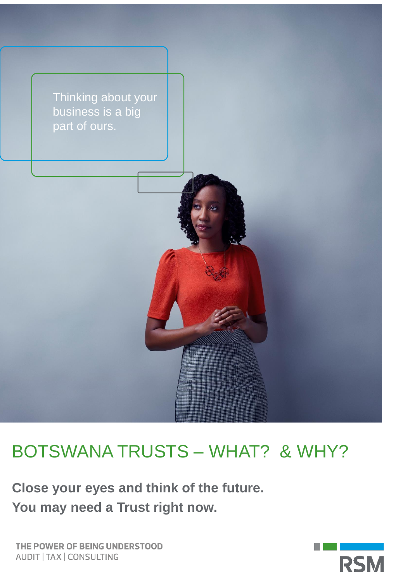

# BOTSWANA TRUSTS – WHAT? & WHY?

**Close your eyes and think of the future. You may need a Trust right now.**

THE POWER OF BEING UNDERSTOOD **AUDIT | TAX | CONSULTING** 

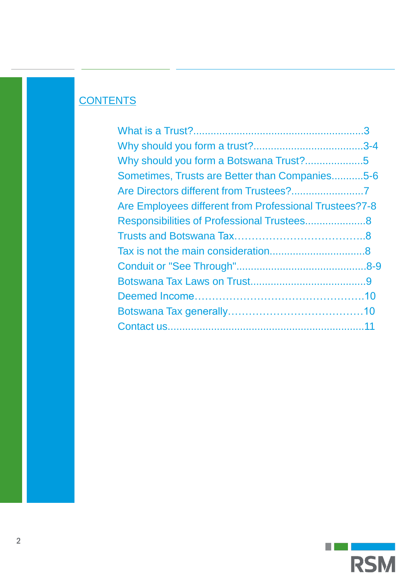# **CONTENTS**

| Sometimes, Trusts are Better than Companies5-6         |  |
|--------------------------------------------------------|--|
|                                                        |  |
| Are Employees different from Professional Trustees?7-8 |  |
|                                                        |  |
|                                                        |  |
|                                                        |  |
|                                                        |  |
|                                                        |  |
|                                                        |  |
|                                                        |  |
|                                                        |  |

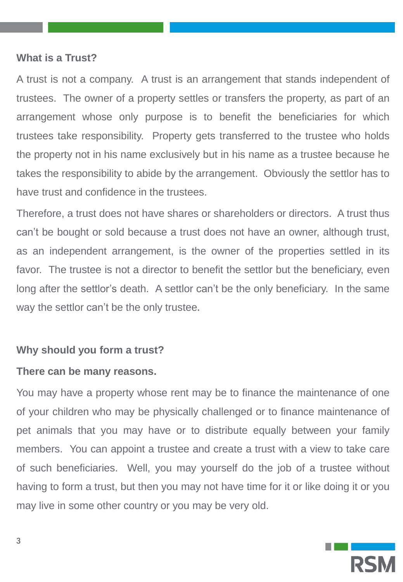#### **What is a Trust?**

A trust is not a company. A trust is an arrangement that stands independent of trustees. The owner of a property settles or transfers the property, as part of an arrangement whose only purpose is to benefit the beneficiaries for which trustees take responsibility. Property gets transferred to the trustee who holds the property not in his name exclusively but in his name as a trustee because he takes the responsibility to abide by the arrangement. Obviously the settlor has to have trust and confidence in the trustees.

Therefore, a trust does not have shares or shareholders or directors. A trust thus can't be bought or sold because a trust does not have an owner, although trust, as an independent arrangement, is the owner of the properties settled in its favor. The trustee is not a director to benefit the settlor but the beneficiary, even long after the settlor's death. A settlor can't be the only beneficiary. In the same way the settlor can't be the only trustee.

#### **Why should you form a trust?**

### **There can be many reasons.**

You may have a property whose rent may be to finance the maintenance of one of your children who may be physically challenged or to finance maintenance of pet animals that you may have or to distribute equally between your family members. You can appoint a trustee and create a trust with a view to take care of such beneficiaries. Well, you may yourself do the job of a trustee without having to form a trust, but then you may not have time for it or like doing it or you may live in some other country or you may be very old.

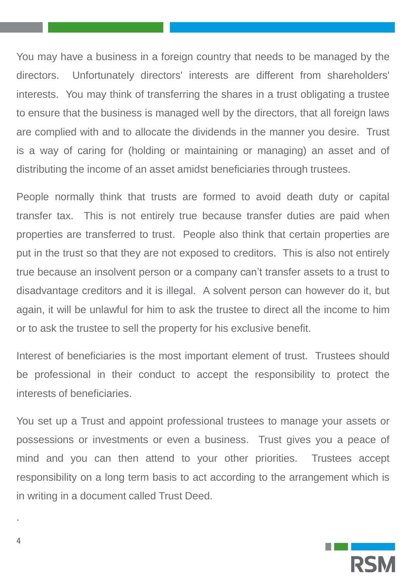You may have a business in a foreign country that needs to be managed by the directors. Unfortunately directors' interests are different from shareholders' interests. You may think of transferring the shares in a trust obligating a trustee to ensure that the business is managed well by the directors, that all foreign laws are complied with and to allocate the dividends in the manner you desire. Trust is a way of caring for (holding or maintaining or managing) an asset and of distributing the income of an asset amidst beneficiaries through trustees.

People normally think that trusts are formed to avoid death duty or capital transfer tax. This is not entirely true because transfer duties are paid when properties are transferred to trust. People also think that certain properties are put in the trust so that they are not exposed to creditors. This is also not entirely true because an insolvent person or a company can't transfer assets to a trust to disadvantage creditors and it is illegal. A solvent person can however do it, but again, it will be unlawful for him to ask the trustee to direct all the income to him or to ask the trustee to sell the property for his exclusive benefit.

Interest of beneficiaries is the most important element of trust. Trustees should be professional in their conduct to accept the responsibility to protect the interests of beneficiaries.

You set up a Trust and appoint professional trustees to manage your assets or possessions or investments or even a business. Trust gives you a peace of mind and you can then attend to your other priorities. Trustees accept responsibility on a long term basis to act according to the arrangement which is in writing in a document called Trust Deed.



.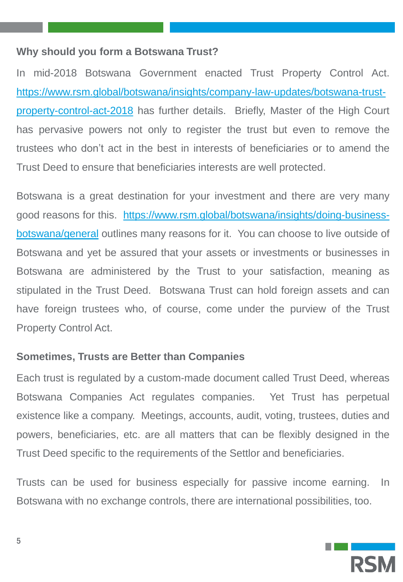#### **Why should you form a Botswana Trust?**

In mid-2018 Botswana Government enacted Trust Property Control Act. [https://www.rsm.global/botswana/insights/company-law-updates/botswana-trust](https://www.rsm.global/botswana/insights/company-law-updates/botswana-trust-property-control-act-2018)property-control-act-2018 has further details. Briefly, Master of the High Court has pervasive powers not only to register the trust but even to remove the trustees who don't act in the best in interests of beneficiaries or to amend the Trust Deed to ensure that beneficiaries interests are well protected.

Botswana is a great destination for your investment and there are very many good reasons for this. [https://www.rsm.global/botswana/insights/doing-business](https://www.rsm.global/botswana/insights/doing-business-botswana/general)botswana/general outlines many reasons for it. You can choose to live outside of Botswana and yet be assured that your assets or investments or businesses in Botswana are administered by the Trust to your satisfaction, meaning as stipulated in the Trust Deed. Botswana Trust can hold foreign assets and can have foreign trustees who, of course, come under the purview of the Trust Property Control Act.

#### **Sometimes, Trusts are Better than Companies**

Each trust is regulated by a custom-made document called Trust Deed, whereas Botswana Companies Act regulates companies. Yet Trust has perpetual existence like a company. Meetings, accounts, audit, voting, trustees, duties and powers, beneficiaries, etc. are all matters that can be flexibly designed in the Trust Deed specific to the requirements of the Settlor and beneficiaries.

Trusts can be used for business especially for passive income earning. In Botswana with no exchange controls, there are international possibilities, too.

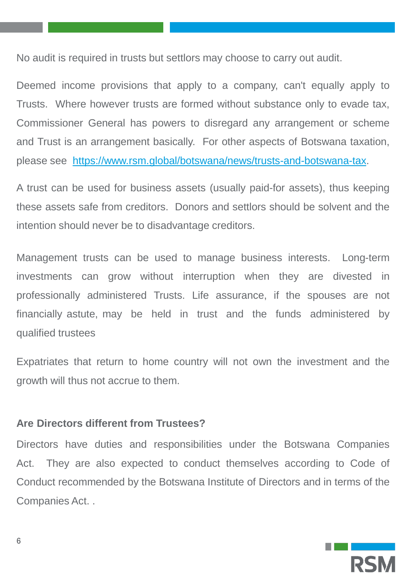No audit is required in trusts but settlors may choose to carry out audit.

Deemed income provisions that apply to a company, can't equally apply to Trusts. Where however trusts are formed without substance only to evade tax, Commissioner General has powers to disregard any arrangement or scheme and Trust is an arrangement basically. For other aspects of Botswana taxation, please see <https://www.rsm.global/botswana/news/trusts-and-botswana-tax>.

A trust can be used for business assets (usually paid-for assets), thus keeping these assets safe from creditors. Donors and settlors should be solvent and the intention should never be to disadvantage creditors.

Management trusts can be used to manage business interests. Long-term investments can grow without interruption when they are divested in professionally administered Trusts. Life assurance, if the spouses are not financially astute, may be held in trust and the funds administered by qualified trustees

Expatriates that return to home country will not own the investment and the growth will thus not accrue to them.

# **Are Directors different from Trustees?**

Directors have duties and responsibilities under the Botswana Companies Act. They are also expected to conduct themselves according to Code of Conduct recommended by the Botswana Institute of Directors and in terms of the Companies Act. .

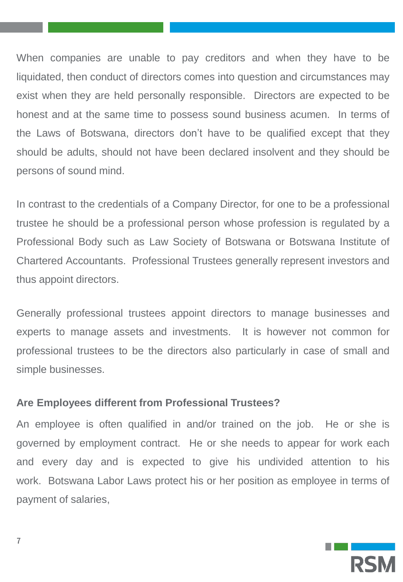When companies are unable to pay creditors and when they have to be liquidated, then conduct of directors comes into question and circumstances may exist when they are held personally responsible. Directors are expected to be honest and at the same time to possess sound business acumen. In terms of the Laws of Botswana, directors don't have to be qualified except that they should be adults, should not have been declared insolvent and they should be persons of sound mind.

In contrast to the credentials of a Company Director, for one to be a professional trustee he should be a professional person whose profession is regulated by a Professional Body such as Law Society of Botswana or Botswana Institute of Chartered Accountants. Professional Trustees generally represent investors and thus appoint directors.

Generally professional trustees appoint directors to manage businesses and experts to manage assets and investments. It is however not common for professional trustees to be the directors also particularly in case of small and simple businesses.

# **Are Employees different from Professional Trustees?**

An employee is often qualified in and/or trained on the job. He or she is governed by employment contract. He or she needs to appear for work each and every day and is expected to give his undivided attention to his work. Botswana Labor Laws protect his or her position as employee in terms of payment of salaries,

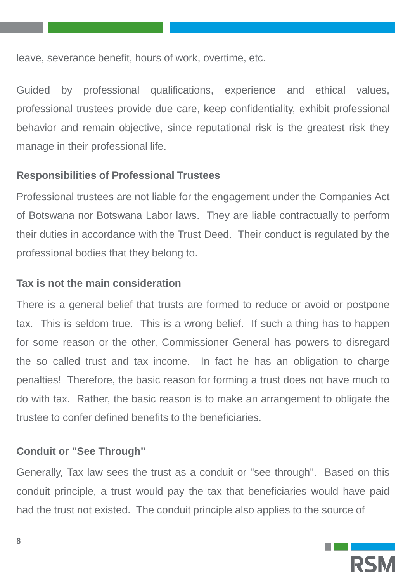leave, severance benefit, hours of work, overtime, etc.

Guided by professional qualifications, experience and ethical values, professional trustees provide due care, keep confidentiality, exhibit professional behavior and remain objective, since reputational risk is the greatest risk they manage in their professional life.

# **Responsibilities of Professional Trustees**

Professional trustees are not liable for the engagement under the Companies Act of Botswana nor Botswana Labor laws. They are liable contractually to perform their duties in accordance with the Trust Deed. Their conduct is regulated by the professional bodies that they belong to.

# **Tax is not the main consideration**

There is a general belief that trusts are formed to reduce or avoid or postpone tax. This is seldom true. This is a wrong belief. If such a thing has to happen for some reason or the other, Commissioner General has powers to disregard the so called trust and tax income. In fact he has an obligation to charge penalties! Therefore, the basic reason for forming a trust does not have much to do with tax. Rather, the basic reason is to make an arrangement to obligate the trustee to confer defined benefits to the beneficiaries.

# **Conduit or "See Through"**

Generally, Tax law sees the trust as a conduit or "see through". Based on this conduit principle, a trust would pay the tax that beneficiaries would have paid had the trust not existed. The conduit principle also applies to the source of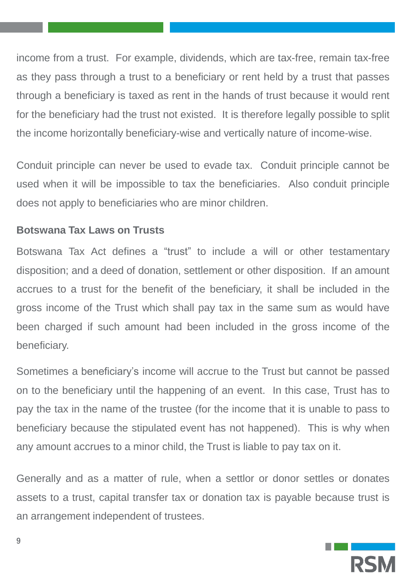income from a trust. For example, dividends, which are tax-free, remain tax-free as they pass through a trust to a beneficiary or rent held by a trust that passes through a beneficiary is taxed as rent in the hands of trust because it would rent for the beneficiary had the trust not existed. It is therefore legally possible to split the income horizontally beneficiary-wise and vertically nature of income-wise.

Conduit principle can never be used to evade tax. Conduit principle cannot be used when it will be impossible to tax the beneficiaries. Also conduit principle does not apply to beneficiaries who are minor children.

# **Botswana Tax Laws on Trusts**

Botswana Tax Act defines a "trust" to include a will or other testamentary disposition; and a deed of donation, settlement or other disposition. If an amount accrues to a trust for the benefit of the beneficiary, it shall be included in the gross income of the Trust which shall pay tax in the same sum as would have been charged if such amount had been included in the gross income of the beneficiary.

Sometimes a beneficiary's income will accrue to the Trust but cannot be passed on to the beneficiary until the happening of an event. In this case, Trust has to pay the tax in the name of the trustee (for the income that it is unable to pass to beneficiary because the stipulated event has not happened). This is why when any amount accrues to a minor child, the Trust is liable to pay tax on it.

Generally and as a matter of rule, when a settlor or donor settles or donates assets to a trust, capital transfer tax or donation tax is payable because trust is an arrangement independent of trustees.

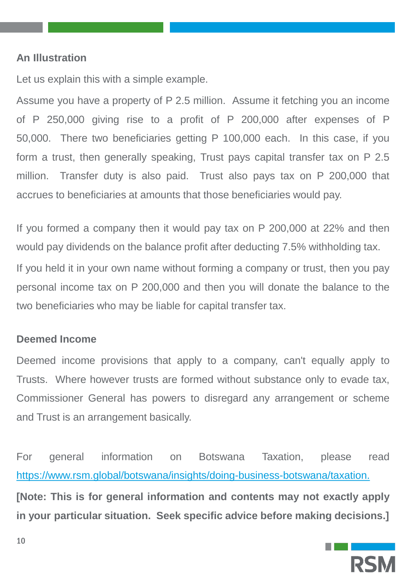#### **An Illustration**

Let us explain this with a simple example.

Assume you have a property of P 2.5 million. Assume it fetching you an income of P 250,000 giving rise to a profit of P 200,000 after expenses of P 50,000. There two beneficiaries getting P 100,000 each. In this case, if you form a trust, then generally speaking, Trust pays capital transfer tax on P 2.5 million. Transfer duty is also paid. Trust also pays tax on P 200,000 that accrues to beneficiaries at amounts that those beneficiaries would pay.

If you formed a company then it would pay tax on P 200,000 at 22% and then would pay dividends on the balance profit after deducting 7.5% withholding tax. If you held it in your own name without forming a company or trust, then you pay personal income tax on P 200,000 and then you will donate the balance to the two beneficiaries who may be liable for capital transfer tax.

#### **Deemed Income**

Deemed income provisions that apply to a company, can't equally apply to Trusts. Where however trusts are formed without substance only to evade tax, Commissioner General has powers to disregard any arrangement or scheme and Trust is an arrangement basically.

For general information on Botswana Taxation, please read [https://www.rsm.global/botswana/insights/doing-business-botswana/taxation.](https://www.rsm.global/botswana/insights/doing-business-botswana/taxation) **[Note: This is for general information and contents may not exactly apply in your particular situation. Seek specific advice before making decisions.]**